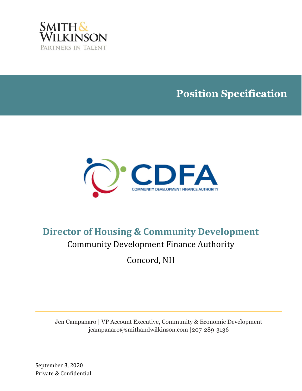

# **Position Specification**



# **Director of Housing & Community Development** Community Development Finance Authority

Concord, NH

Jen Campanaro | VP Account Executive, Community & Economic Development jcampanaro@smithandwilkinson.com |207-289-3136

September 3, 2020 Private & Confidential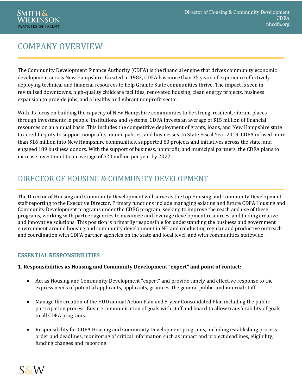## COMPANY OVERVIEW

The Community Development Finance Authority (CDFA) is the financial engine that drives community economic development across New Hampshire. Created in 1983, CDFA has more than 35 years of experience effectively deploying technical and financial resources to help Granite State communities thrive. The impact is seen in revitalized downtowns, high-quality childcare facilities, renovated housing, clean energy projects, business expansion to provide jobs, and a healthy and vibrant nonprofit sector.

With its focus on building the capacity of New Hampshire communities to be strong, resilient, vibrant places through investments in people, institutions and systems, CDFA invests an average of \$15 million of financial resources on an annual basis. This includes the competitive deployment of grants, loans, and New Hampshire state tax credit equity to support nonprofits, municipalities, and businesses. In State Fiscal Year 2019, CDFA infused more than \$16 million into New Hampshire communities, supported 80 projects and initiatives across the state, and engaged 189 business donors. With the support of business, nonprofit, and municipal partners, the CDFA plans to increase investment to an average of \$20 million per year by 2022

### DIRECTOR OF HOUSING & COMMUNITY DEVELOPMENT

The Director of Housing and Community Development will serve as the top Housing and Community Development staff reporting to the Executive Director. Primary functions include managing existing and future CDFA Housing and Community Development programs under the CDBG program, seeking to improve the reach and use of these programs, working with partner agencies to maximize and leverage development resources, and finding creative and innovative solutions. This position is primarily responsible for understanding the business and government environment around housing and community development in NH and conducting regular and productive outreach and coordination with CDFA partner agencies on the state and local level, and with communities statewide.

#### **ESSENTIAL RESPONSIBILITIES**

#### **1. Responsibilities as Housing and Community Development "expert" and point of contact:**

- Act as Housing and Community Development "expert" and provide timely and effective response to the express needs of potential applicants, applicants, grantees, the general public, and internal staff.
- Manage the creation of the HUD annual Action Plan and 5-year Consolidated Plan including the public participation process. Ensure communication of goals with staff and board to allow transferability of goals to all CDFA programs.
- Responsibility for CDFA Housing and Community Development programs, including establishing process order and deadlines, monitoring of critical information such as impact and project deadlines, eligibility, funding changes and reporting.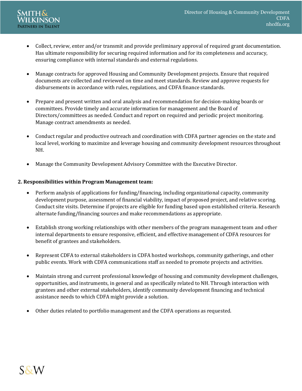

- Collect, review, enter and/or transmit and provide preliminary approval of required grant documentation. Has ultimate responsibility for securing required information and for its completeness and accuracy, ensuring compliance with internal standards and external regulations.
- Manage contracts for approved Housing and Community Development projects. Ensure that required documents are collected and reviewed on time and meet standards. Review and approve requests for disbursements in accordance with rules, regulations, and CDFA finance standards.
- Prepare and present written and oral analysis and recommendation for decision-making boards or committees. Provide timely and accurate information for management and the Board of Directors/committees as needed. Conduct and report on required and periodic project monitoring. Manage contract amendments as needed.
- Conduct regular and productive outreach and coordination with CDFA partner agencies on the state and local level, working to maximize and leverage housing and community development resources throughout NH.
- Manage the Community Development Advisory Committee with the Executive Director.

#### **2. Responsibilities within Program Management team:**

- Perform analysis of applications for funding/financing, including organizational capacity, community development purpose, assessment of financial viability, impact of proposed project, and relative scoring. Conduct site visits. Determine if projects are eligible for funding based upon established criteria. Research alternate funding/financing sources and make recommendations as appropriate.
- Establish strong working relationships with other members of the program management team and other internal departments to ensure responsive, efficient, and effective management of CDFA resources for benefit of grantees and stakeholders.
- Represent CDFA to external stakeholders in CDFA hosted workshops, community gatherings, and other public events. Work with CDFA communications staff as needed to promote projects and activities.
- Maintain strong and current professional knowledge of housing and community development challenges, opportunities, and instruments, in general and as specifically related to NH. Through interaction with grantees and other external stakeholders, identify community development financing and technical assistance needs to which CDFA might provide a solution.
- Other duties related to portfolio management and the CDFA operations as requested.